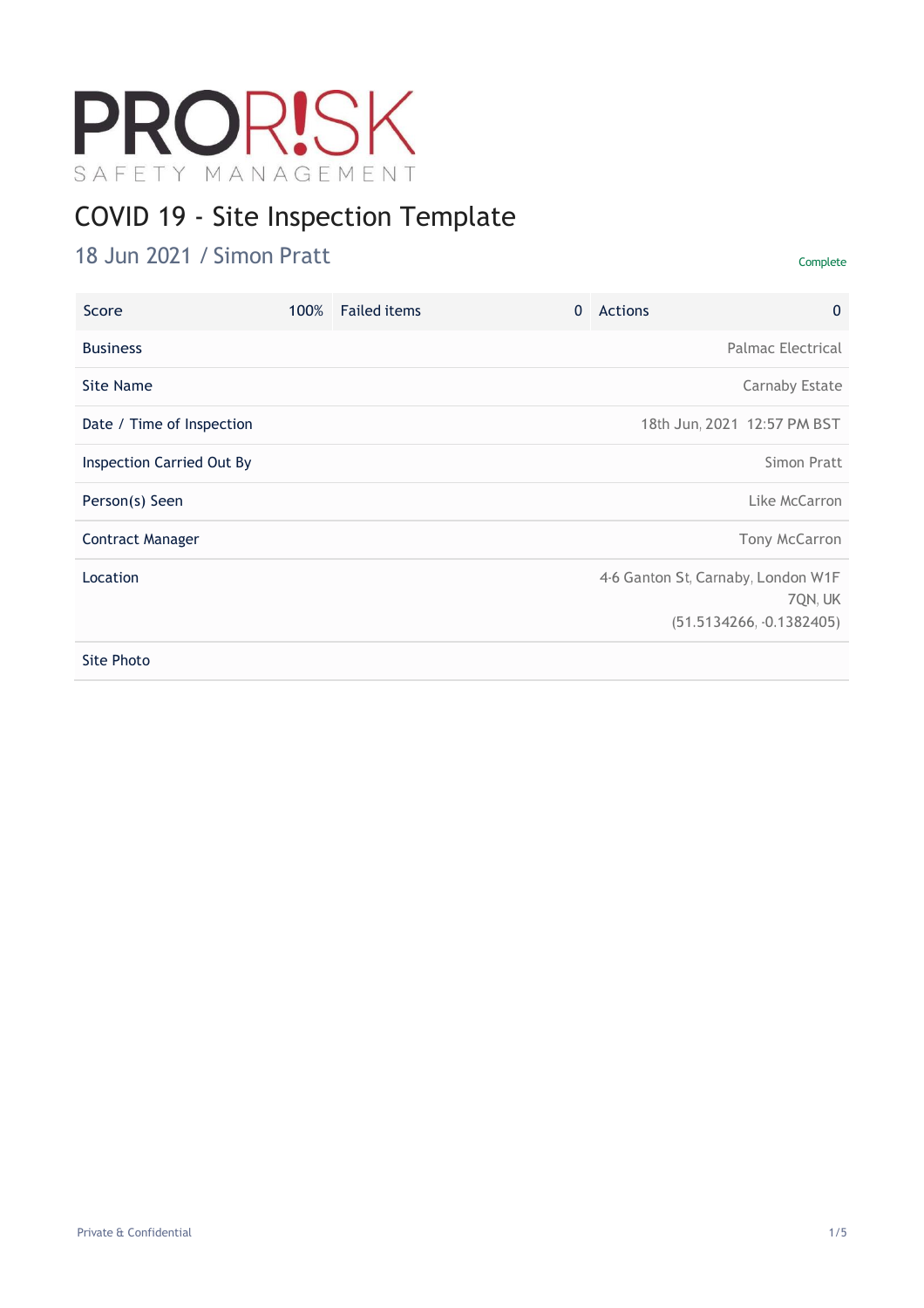# PRORISK SAFETY MANAGEMENT

# COVID 19 - Site Inspection Template

### 18 Jun 2021 / Simon Pratt Complete

| Score                            | 100% | <b>Failed items</b> | $\mathbf{0}$ | Actions | $\mathbf{0}$                                                                |
|----------------------------------|------|---------------------|--------------|---------|-----------------------------------------------------------------------------|
| <b>Business</b>                  |      |                     |              |         | Palmac Electrical                                                           |
| Site Name                        |      |                     |              |         | Carnaby Estate                                                              |
| Date / Time of Inspection        |      |                     |              |         | 18th Jun, 2021 12:57 PM BST                                                 |
| <b>Inspection Carried Out By</b> |      |                     |              |         | Simon Pratt                                                                 |
| Person(s) Seen                   |      |                     |              |         | Like McCarron                                                               |
| <b>Contract Manager</b>          |      |                     |              |         | Tony McCarron                                                               |
| Location                         |      |                     |              |         | 4-6 Ganton St, Carnaby, London W1F<br>7QN, UK<br>$(51.5134266, -0.1382405)$ |
| Site Photo                       |      |                     |              |         |                                                                             |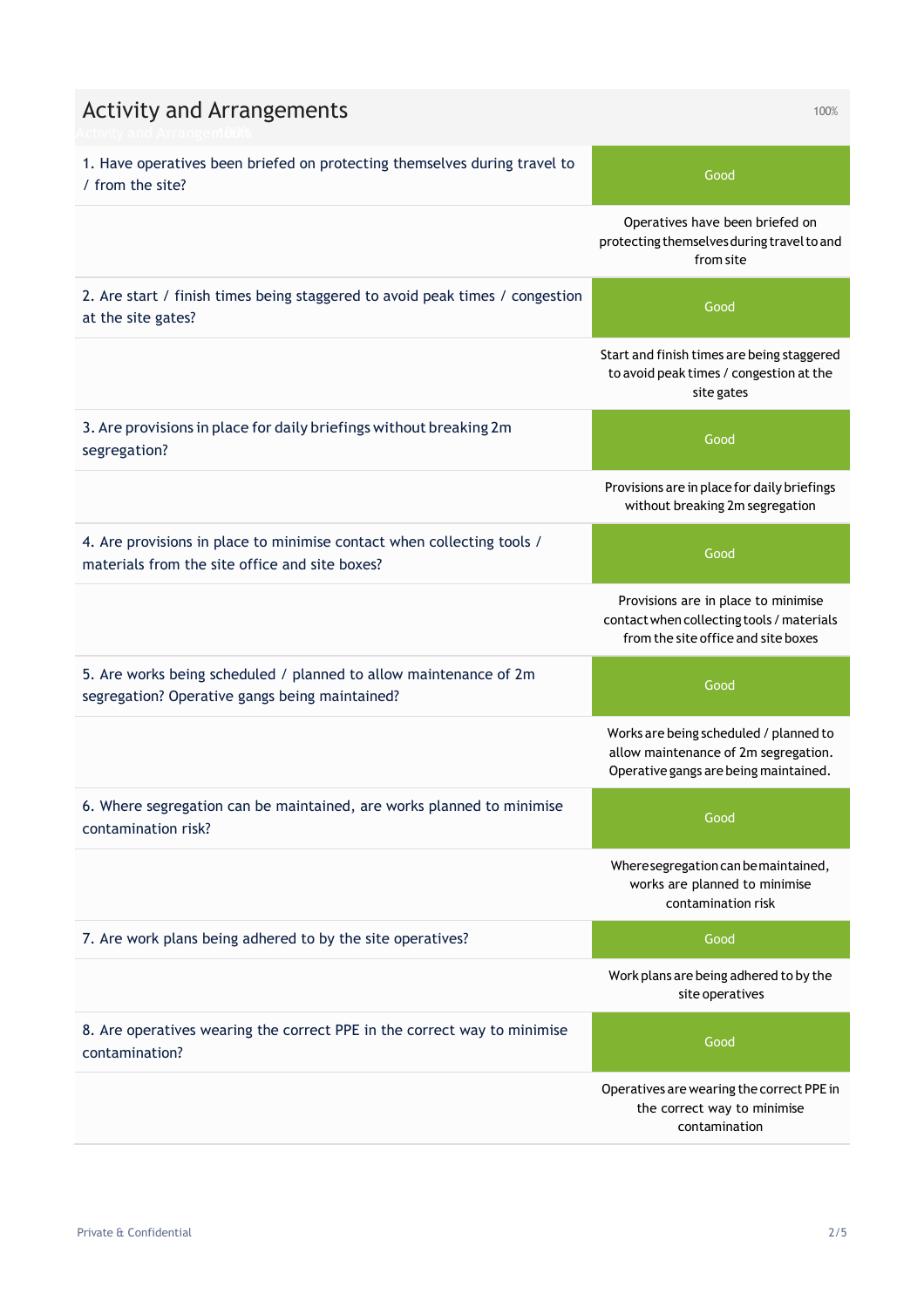| <b>Activity and Arrangements</b>                                                                                         | 100%                                                                                                                    |
|--------------------------------------------------------------------------------------------------------------------------|-------------------------------------------------------------------------------------------------------------------------|
| 1. Have operatives been briefed on protecting themselves during travel to<br>/ from the site?                            | Good                                                                                                                    |
|                                                                                                                          | Operatives have been briefed on<br>protecting themselves during travel to and<br>from site                              |
| 2. Are start / finish times being staggered to avoid peak times / congestion<br>at the site gates?                       | Good                                                                                                                    |
|                                                                                                                          | Start and finish times are being staggered<br>to avoid peak times / congestion at the<br>site gates                     |
| 3. Are provisions in place for daily briefings without breaking 2m<br>segregation?                                       | Good                                                                                                                    |
|                                                                                                                          | Provisions are in place for daily briefings<br>without breaking 2m segregation                                          |
| 4. Are provisions in place to minimise contact when collecting tools /<br>materials from the site office and site boxes? | Good                                                                                                                    |
|                                                                                                                          | Provisions are in place to minimise<br>contact when collecting tools / materials<br>from the site office and site boxes |
| 5. Are works being scheduled / planned to allow maintenance of 2m<br>segregation? Operative gangs being maintained?      | Good                                                                                                                    |
|                                                                                                                          | Works are being scheduled / planned to<br>allow maintenance of 2m segregation.<br>Operative gangs are being maintained. |
| 6. Where segregation can be maintained, are works planned to minimise<br>contamination risk?                             | Good                                                                                                                    |
|                                                                                                                          | Where segregation can be maintained,<br>works are planned to minimise<br>contamination risk                             |
| 7. Are work plans being adhered to by the site operatives?                                                               | Good                                                                                                                    |
|                                                                                                                          | Work plans are being adhered to by the<br>site operatives                                                               |
| 8. Are operatives wearing the correct PPE in the correct way to minimise<br>contamination?                               | Good                                                                                                                    |
|                                                                                                                          | Operatives are wearing the correct PPE in<br>the correct way to minimise<br>contamination                               |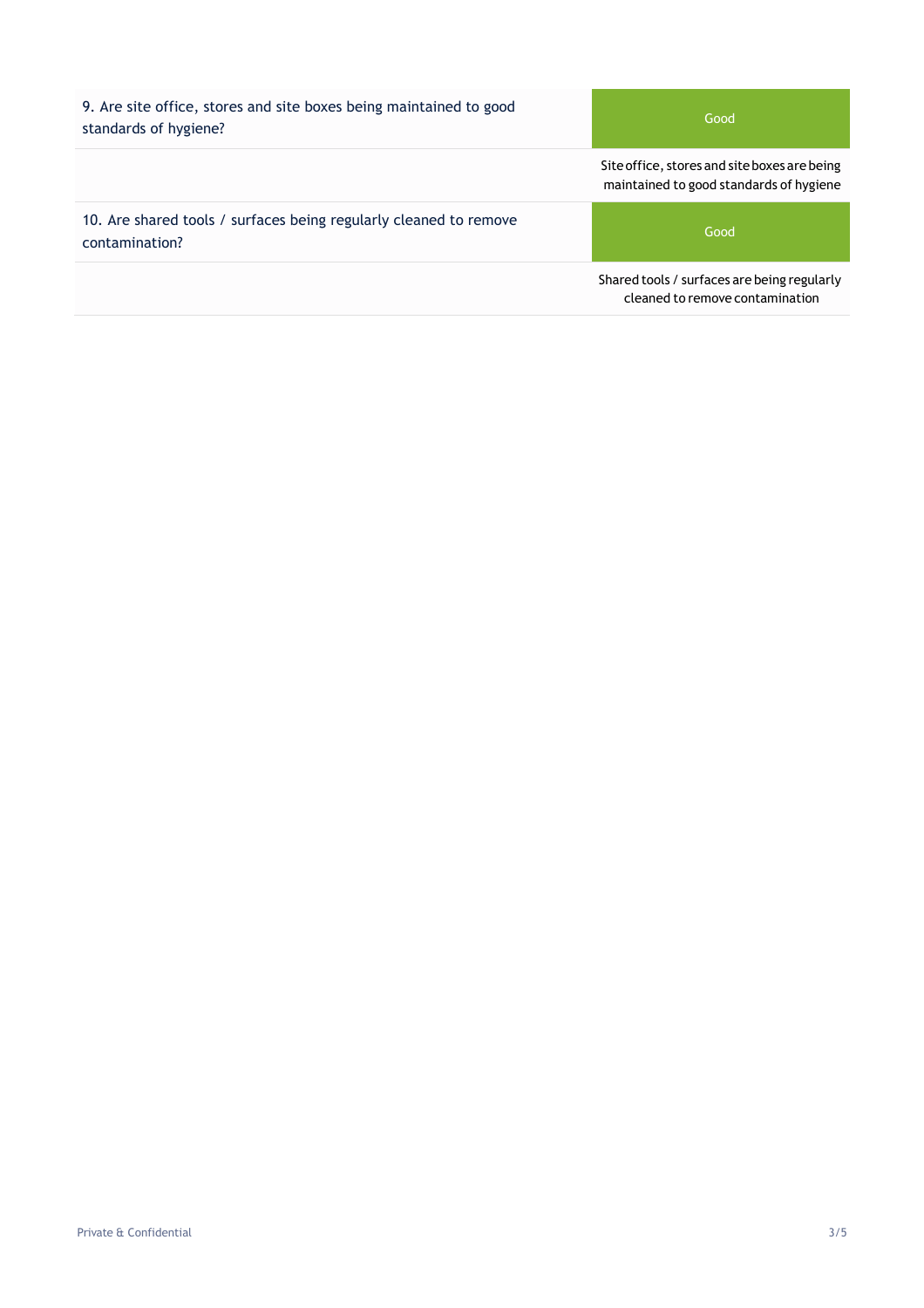9. Are site office, stores and site boxes being maintained to good standards of hygiene?

Good

Siteoffice, stores and siteboxes are being maintained to good standards of hygiene

10. Are shared tools / surfaces being regularly cleaned to remove contamination?

Good

Shared tools / surfaces are being regularly cleaned to remove contamination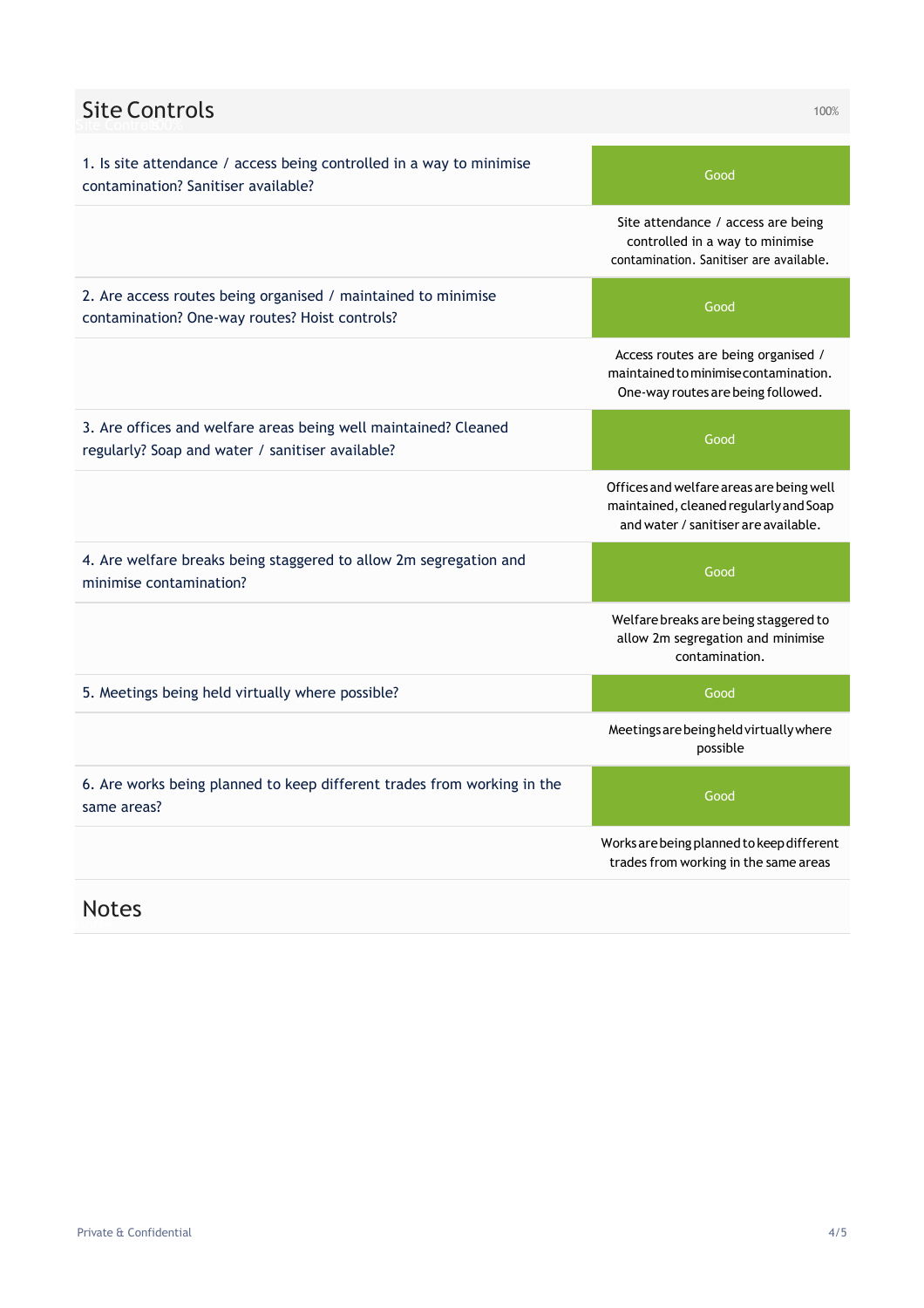| <b>Site Controls</b>                                                                                                | 100%                                                                                                                       |
|---------------------------------------------------------------------------------------------------------------------|----------------------------------------------------------------------------------------------------------------------------|
| 1. Is site attendance / access being controlled in a way to minimise<br>contamination? Sanitiser available?         | Good                                                                                                                       |
|                                                                                                                     | Site attendance / access are being<br>controlled in a way to minimise<br>contamination. Sanitiser are available.           |
| 2. Are access routes being organised / maintained to minimise<br>contamination? One-way routes? Hoist controls?     | Good                                                                                                                       |
|                                                                                                                     | Access routes are being organised /<br>maintained to minimise contamination.<br>One-way routes are being followed.         |
| 3. Are offices and welfare areas being well maintained? Cleaned<br>regularly? Soap and water / sanitiser available? | Good                                                                                                                       |
|                                                                                                                     | Offices and welfare areas are being well<br>maintained, cleaned regularly and Soap<br>and water / sanitiser are available. |
| 4. Are welfare breaks being staggered to allow 2m segregation and<br>minimise contamination?                        | Good                                                                                                                       |
|                                                                                                                     | Welfare breaks are being staggered to<br>allow 2m segregation and minimise<br>contamination.                               |
| 5. Meetings being held virtually where possible?                                                                    | Good                                                                                                                       |
|                                                                                                                     | Meetings are being held virtually where<br>possible                                                                        |
| 6. Are works being planned to keep different trades from working in the<br>same areas?                              | Good                                                                                                                       |
|                                                                                                                     | Works are being planned to keep different<br>trades from working in the same areas                                         |

## Notes Notes